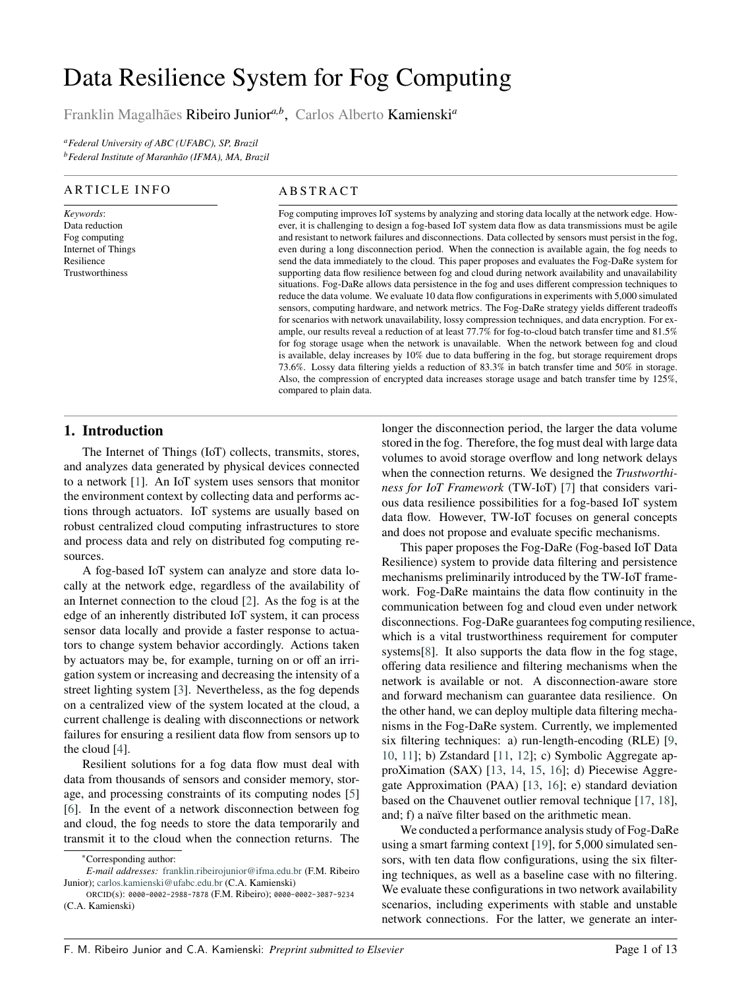# Data Resilience System for Fog Computing

Franklin Magalhães Ribeiro Junior*a,b* , Carlos Alberto Kamienski*<sup>a</sup>*

*<sup>a</sup>Federal University of ABC (UFABC), SP, Brazil <sup>b</sup>Federal Institute of Maranhão (IFMA), MA, Brazil*

#### **ARTICLE INFO**

*Keywords*: Data reduction Fog computing Internet of Things Resilience Trustworthiness

#### **ABSTRACT**

Fog computing improves IoT systems by analyzing and storing data locally at the network edge. However, it is challenging to design a fog-based IoT system data flow as data transmissions must be agile and resistant to network failures and disconnections. Data collected by sensors must persist in the fog, even during a long disconnection period. When the connection is available again, the fog needs to send the data immediately to the cloud. This paper proposes and evaluates the Fog-DaRe system for supporting data flow resilience between fog and cloud during network availability and unavailability situations. Fog-DaRe allows data persistence in the fog and uses different compression techniques to reduce the data volume. We evaluate 10 data flow configurations in experiments with 5,000 simulated sensors, computing hardware, and network metrics. The Fog-DaRe strategy yields different tradeoffs for scenarios with network unavailability, lossy compression techniques, and data encryption. For example, our results reveal a reduction of at least 77.7% for fog-to-cloud batch transfer time and 81.5% for fog storage usage when the network is unavailable. When the network between fog and cloud is available, delay increases by 10% due to data buffering in the fog, but storage requirement drops 73.6%. Lossy data filtering yields a reduction of 83.3% in batch transfer time and 50% in storage. Also, the compression of encrypted data increases storage usage and batch transfer time by 125%, compared to plain data.

# **1. Introduction**

The Internet of Things (IoT) collects, transmits, stores, and analyzes data generated by physical devices connected to a network [\[1\]](#page-11-0). An IoT system uses sensors that monitor the environment context by collecting data and performs actions through actuators. IoT systems are usually based on robust centralized cloud computing infrastructures to store and process data and rely on distributed fog computing resources.

A fog-based IoT system can analyze and store data locally at the network edge, regardless of the availability of an Internet connection to the cloud [\[2\]](#page-11-1). As the fog is at the edge of an inherently distributed IoT system, it can process sensor data locally and provide a faster response to actuators to change system behavior accordingly. Actions taken by actuators may be, for example, turning on or off an irrigation system or increasing and decreasing the intensity of a street lighting system [\[3\]](#page-11-2). Nevertheless, as the fog depends on a centralized view of the system located at the cloud, a current challenge is dealing with disconnections or network failures for ensuring a resilient data flow from sensors up to the cloud [\[4\]](#page-11-3).

Resilient solutions for a fog data flow must deal with data from thousands of sensors and consider memory, storage, and processing constraints of its computing nodes [\[5\]](#page-11-4) [\[6\]](#page-11-5). In the event of a network disconnection between fog and cloud, the fog needs to store the data temporarily and transmit it to the cloud when the connection returns. The

longer the disconnection period, the larger the data volume stored in the fog. Therefore, the fog must deal with large data volumes to avoid storage overflow and long network delays when the connection returns. We designed the *Trustworthiness for IoT Framework* (TW-IoT) [\[7\]](#page-11-6) that considers various data resilience possibilities for a fog-based IoT system data flow. However, TW-IoT focuses on general concepts and does not propose and evaluate specific mechanisms.

This paper proposes the Fog-DaRe (Fog-based IoT Data Resilience) system to provide data filtering and persistence mechanisms preliminarily introduced by the TW-IoT framework. Fog-DaRe maintains the data flow continuity in the communication between fog and cloud even under network disconnections. Fog-DaRe guarantees fog computing resilience, which is a vital trustworthiness requirement for computer systems[\[8\]](#page-11-7). It also supports the data flow in the fog stage, offering data resilience and filtering mechanisms when the network is available or not. A disconnection-aware store and forward mechanism can guarantee data resilience. On the other hand, we can deploy multiple data filtering mechanisms in the Fog-DaRe system. Currently, we implemented six filtering techniques: a) run-length-encoding (RLE) [\[9,](#page-11-8) [10,](#page-11-9) [11\]](#page-11-10); b) Zstandard [\[11,](#page-11-10) [12\]](#page-11-11); c) Symbolic Aggregate approXimation (SAX) [\[13,](#page-11-12) [14,](#page-11-13) [15,](#page-11-14) [16\]](#page-11-15); d) Piecewise Aggregate Approximation (PAA) [\[13,](#page-11-12) [16\]](#page-11-15); e) standard deviation based on the Chauvenet outlier removal technique [\[17,](#page-11-16) [18\]](#page-11-17), and; f) a naïve filter based on the arithmetic mean.

We conducted a performance analysis study of Fog-DaRe using a smart farming context [\[19\]](#page-11-18), for 5,000 simulated sensors, with ten data flow configurations, using the six filtering techniques, as well as a baseline case with no filtering. We evaluate these configurations in two network availability scenarios, including experiments with stable and unstable network connections. For the latter, we generate an inter-

<sup>∗</sup>Corresponding author:

*E-mail addresses:* [franklin.ribeirojunior@ifma.edu.br](mailto:franklin.ribeirojunior@ifma.edu.br) (F.M. Ribeiro Junior); [carlos.kamienski@ufabc.edu.br](mailto:carlos.kamienski@ufabc.edu.br) (C.A. Kamienski)

ORCID(s): 0000-0002-2988-7878 (F.M. Ribeiro); 0000-0002-3087-9234 (C.A. Kamienski)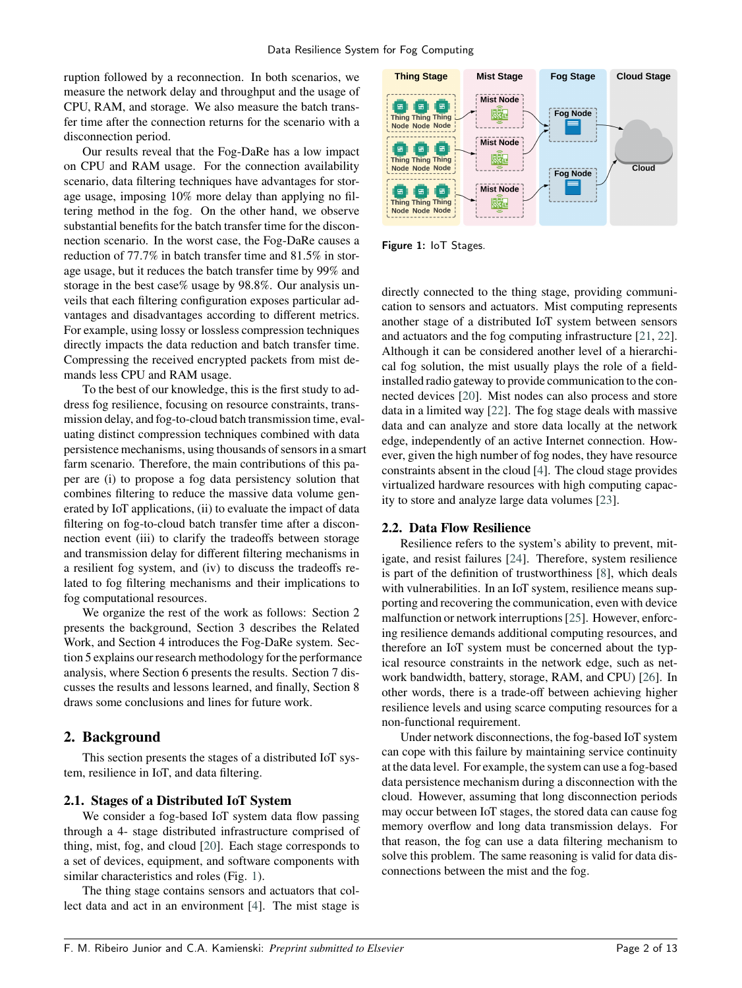ruption followed by a reconnection. In both scenarios, we measure the network delay and throughput and the usage of CPU, RAM, and storage. We also measure the batch transfer time after the connection returns for the scenario with a disconnection period.

Our results reveal that the Fog-DaRe has a low impact on CPU and RAM usage. For the connection availability scenario, data filtering techniques have advantages for storage usage, imposing 10% more delay than applying no filtering method in the fog. On the other hand, we observe substantial benefits for the batch transfer time for the disconnection scenario. In the worst case, the Fog-DaRe causes a reduction of 77.7% in batch transfer time and 81.5% in storage usage, but it reduces the batch transfer time by 99% and storage in the best case% usage by 98.8%. Our analysis unveils that each filtering configuration exposes particular advantages and disadvantages according to different metrics. For example, using lossy or lossless compression techniques directly impacts the data reduction and batch transfer time. Compressing the received encrypted packets from mist demands less CPU and RAM usage.

To the best of our knowledge, this is the first study to address fog resilience, focusing on resource constraints, transmission delay, and fog-to-cloud batch transmission time, evaluating distinct compression techniques combined with data persistence mechanisms, using thousands of sensors in a smart farm scenario. Therefore, the main contributions of this paper are (i) to propose a fog data persistency solution that combines filtering to reduce the massive data volume generated by IoT applications, (ii) to evaluate the impact of data filtering on fog-to-cloud batch transfer time after a disconnection event (iii) to clarify the tradeoffs between storage and transmission delay for different filtering mechanisms in a resilient fog system, and (iv) to discuss the tradeoffs related to fog filtering mechanisms and their implications to fog computational resources.

We organize the rest of the work as follows: Section 2 presents the background, Section 3 describes the Related Work, and Section 4 introduces the Fog-DaRe system. Section 5 explains our research methodology for the performance analysis, where Section 6 presents the results. Section 7 discusses the results and lessons learned, and finally, Section 8 draws some conclusions and lines for future work.

### **2. Background**

This section presents the stages of a distributed IoT system, resilience in IoT, and data filtering.

#### **2.1. Stages of a Distributed IoT System**

We consider a fog-based IoT system data flow passing through a 4- stage distributed infrastructure comprised of thing, mist, fog, and cloud [\[20\]](#page-11-19). Each stage corresponds to a set of devices, equipment, and software components with similar characteristics and roles (Fig. [1\)](#page-1-0).

The thing stage contains sensors and actuators that collect data and act in an environment [\[4\]](#page-11-3). The mist stage is

<span id="page-1-0"></span>

Figure 1: IoT Stages.

directly connected to the thing stage, providing communication to sensors and actuators. Mist computing represents another stage of a distributed IoT system between sensors and actuators and the fog computing infrastructure [\[21,](#page-11-20) [22\]](#page-11-21). Although it can be considered another level of a hierarchical fog solution, the mist usually plays the role of a fieldinstalled radio gateway to provide communication to the connected devices [\[20\]](#page-11-19). Mist nodes can also process and store data in a limited way [\[22\]](#page-11-21). The fog stage deals with massive data and can analyze and store data locally at the network edge, independently of an active Internet connection. However, given the high number of fog nodes, they have resource constraints absent in the cloud [\[4\]](#page-11-3). The cloud stage provides virtualized hardware resources with high computing capacity to store and analyze large data volumes [\[23\]](#page-11-22).

#### **2.2. Data Flow Resilience**

Resilience refers to the system's ability to prevent, mitigate, and resist failures [\[24\]](#page-11-23). Therefore, system resilience is part of the definition of trustworthiness [\[8\]](#page-11-7), which deals with vulnerabilities. In an IoT system, resilience means supporting and recovering the communication, even with device malfunction or network interruptions [\[25\]](#page-11-24). However, enforcing resilience demands additional computing resources, and therefore an IoT system must be concerned about the typical resource constraints in the network edge, such as network bandwidth, battery, storage, RAM, and CPU) [\[26\]](#page-11-25). In other words, there is a trade-off between achieving higher resilience levels and using scarce computing resources for a non-functional requirement.

Under network disconnections, the fog-based IoT system can cope with this failure by maintaining service continuity at the data level. For example, the system can use a fog-based data persistence mechanism during a disconnection with the cloud. However, assuming that long disconnection periods may occur between IoT stages, the stored data can cause fog memory overflow and long data transmission delays. For that reason, the fog can use a data filtering mechanism to solve this problem. The same reasoning is valid for data disconnections between the mist and the fog.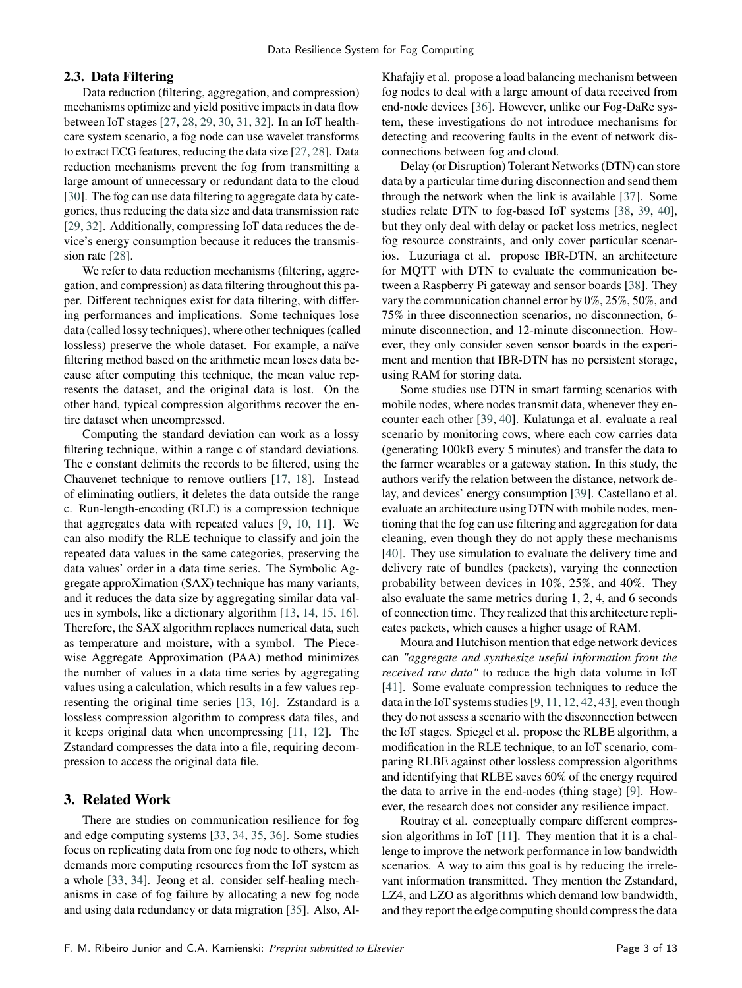#### **2.3. Data Filtering**

Data reduction (filtering, aggregation, and compression) mechanisms optimize and yield positive impacts in data flow between IoT stages [\[27,](#page-11-26) [28,](#page-11-27) [29,](#page-11-28) [30,](#page-11-29) [31,](#page-12-0) [32\]](#page-12-1). In an IoT healthcare system scenario, a fog node can use wavelet transforms to extract ECG features, reducing the data size [\[27,](#page-11-26) [28\]](#page-11-27). Data reduction mechanisms prevent the fog from transmitting a large amount of unnecessary or redundant data to the cloud [\[30\]](#page-11-29). The fog can use data filtering to aggregate data by categories, thus reducing the data size and data transmission rate [\[29,](#page-11-28) [32\]](#page-12-1). Additionally, compressing IoT data reduces the device's energy consumption because it reduces the transmis-sion rate [\[28\]](#page-11-27).

We refer to data reduction mechanisms (filtering, aggregation, and compression) as data filtering throughout this paper. Different techniques exist for data filtering, with differing performances and implications. Some techniques lose data (called lossy techniques), where other techniques (called lossless) preserve the whole dataset. For example, a naïve filtering method based on the arithmetic mean loses data because after computing this technique, the mean value represents the dataset, and the original data is lost. On the other hand, typical compression algorithms recover the entire dataset when uncompressed.

Computing the standard deviation can work as a lossy filtering technique, within a range c of standard deviations. The c constant delimits the records to be filtered, using the Chauvenet technique to remove outliers [\[17,](#page-11-16) [18\]](#page-11-17). Instead of eliminating outliers, it deletes the data outside the range c. Run-length-encoding (RLE) is a compression technique that aggregates data with repeated values [\[9,](#page-11-8) [10,](#page-11-9) [11\]](#page-11-10). We can also modify the RLE technique to classify and join the repeated data values in the same categories, preserving the data values' order in a data time series. The Symbolic Aggregate approXimation (SAX) technique has many variants, and it reduces the data size by aggregating similar data values in symbols, like a dictionary algorithm [\[13,](#page-11-12) [14,](#page-11-13) [15,](#page-11-14) [16\]](#page-11-15). Therefore, the SAX algorithm replaces numerical data, such as temperature and moisture, with a symbol. The Piecewise Aggregate Approximation (PAA) method minimizes the number of values in a data time series by aggregating values using a calculation, which results in a few values representing the original time series [\[13,](#page-11-12) [16\]](#page-11-15). Zstandard is a lossless compression algorithm to compress data files, and it keeps original data when uncompressing [\[11,](#page-11-10) [12\]](#page-11-11). The Zstandard compresses the data into a file, requiring decompression to access the original data file.

# **3. Related Work**

There are studies on communication resilience for fog and edge computing systems [\[33,](#page-12-2) [34,](#page-12-3) [35,](#page-12-4) [36\]](#page-12-5). Some studies focus on replicating data from one fog node to others, which demands more computing resources from the IoT system as a whole [\[33,](#page-12-2) [34\]](#page-12-3). Jeong et al. consider self-healing mechanisms in case of fog failure by allocating a new fog node and using data redundancy or data migration [\[35\]](#page-12-4). Also, Al-

Khafajiy et al. propose a load balancing mechanism between fog nodes to deal with a large amount of data received from end-node devices [\[36\]](#page-12-5). However, unlike our Fog-DaRe system, these investigations do not introduce mechanisms for detecting and recovering faults in the event of network disconnections between fog and cloud.

Delay (or Disruption) Tolerant Networks (DTN) can store data by a particular time during disconnection and send them through the network when the link is available [\[37\]](#page-12-6). Some studies relate DTN to fog-based IoT systems [\[38,](#page-12-7) [39,](#page-12-8) [40\]](#page-12-9), but they only deal with delay or packet loss metrics, neglect fog resource constraints, and only cover particular scenarios. Luzuriaga et al. propose IBR-DTN, an architecture for MQTT with DTN to evaluate the communication between a Raspberry Pi gateway and sensor boards [\[38\]](#page-12-7). They vary the communication channel error by 0%, 25%, 50%, and 75% in three disconnection scenarios, no disconnection, 6 minute disconnection, and 12-minute disconnection. However, they only consider seven sensor boards in the experiment and mention that IBR-DTN has no persistent storage, using RAM for storing data.

Some studies use DTN in smart farming scenarios with mobile nodes, where nodes transmit data, whenever they encounter each other [\[39,](#page-12-8) [40\]](#page-12-9). Kulatunga et al. evaluate a real scenario by monitoring cows, where each cow carries data (generating 100kB every 5 minutes) and transfer the data to the farmer wearables or a gateway station. In this study, the authors verify the relation between the distance, network delay, and devices' energy consumption [\[39\]](#page-12-8). Castellano et al. evaluate an architecture using DTN with mobile nodes, mentioning that the fog can use filtering and aggregation for data cleaning, even though they do not apply these mechanisms [\[40\]](#page-12-9). They use simulation to evaluate the delivery time and delivery rate of bundles (packets), varying the connection probability between devices in 10%, 25%, and 40%. They also evaluate the same metrics during 1, 2, 4, and 6 seconds of connection time. They realized that this architecture replicates packets, which causes a higher usage of RAM.

Moura and Hutchison mention that edge network devices can *"aggregate and synthesize useful information from the received raw data"* to reduce the high data volume in IoT [\[41\]](#page-12-10). Some evaluate compression techniques to reduce the data in the IoT systems studies [\[9,](#page-11-8) [11,](#page-11-10) [12,](#page-11-11) [42,](#page-12-11) [43\]](#page-12-12), even though they do not assess a scenario with the disconnection between the IoT stages. Spiegel et al. propose the RLBE algorithm, a modification in the RLE technique, to an IoT scenario, comparing RLBE against other lossless compression algorithms and identifying that RLBE saves 60% of the energy required the data to arrive in the end-nodes (thing stage) [\[9\]](#page-11-8). However, the research does not consider any resilience impact.

Routray et al. conceptually compare different compression algorithms in IoT [\[11\]](#page-11-10). They mention that it is a challenge to improve the network performance in low bandwidth scenarios. A way to aim this goal is by reducing the irrelevant information transmitted. They mention the Zstandard, LZ4, and LZO as algorithms which demand low bandwidth, and they report the edge computing should compress the data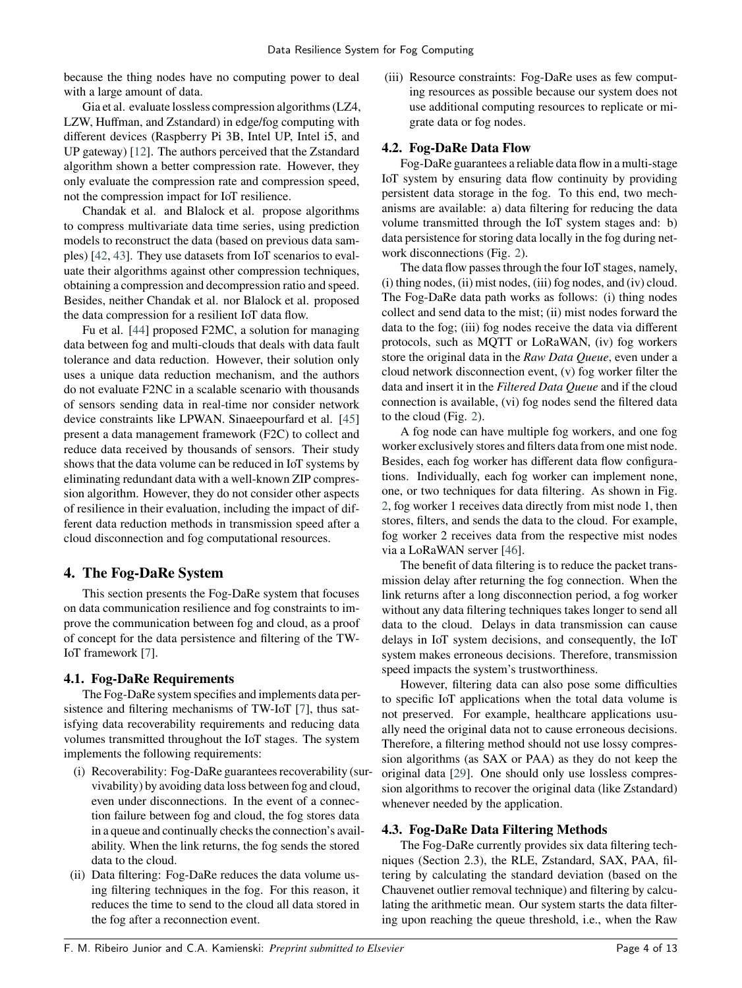because the thing nodes have no computing power to deal with a large amount of data.

Gia et al. evaluate lossless compression algorithms (LZ4, LZW, Huffman, and Zstandard) in edge/fog computing with different devices (Raspberry Pi 3B, Intel UP, Intel i5, and UP gateway) [\[12\]](#page-11-11). The authors perceived that the Zstandard algorithm shown a better compression rate. However, they only evaluate the compression rate and compression speed, not the compression impact for IoT resilience.

Chandak et al. and Blalock et al. propose algorithms to compress multivariate data time series, using prediction models to reconstruct the data (based on previous data samples) [\[42,](#page-12-11) [43\]](#page-12-12). They use datasets from IoT scenarios to evaluate their algorithms against other compression techniques, obtaining a compression and decompression ratio and speed. Besides, neither Chandak et al. nor Blalock et al. proposed the data compression for a resilient IoT data flow.

Fu et al. [\[44\]](#page-12-13) proposed F2MC, a solution for managing data between fog and multi-clouds that deals with data fault tolerance and data reduction. However, their solution only uses a unique data reduction mechanism, and the authors do not evaluate F2NC in a scalable scenario with thousands of sensors sending data in real-time nor consider network device constraints like LPWAN. Sinaeepourfard et al. [\[45\]](#page-12-14) present a data management framework (F2C) to collect and reduce data received by thousands of sensors. Their study shows that the data volume can be reduced in IoT systems by eliminating redundant data with a well-known ZIP compression algorithm. However, they do not consider other aspects of resilience in their evaluation, including the impact of different data reduction methods in transmission speed after a cloud disconnection and fog computational resources.

# **4. The Fog-DaRe System**

This section presents the Fog-DaRe system that focuses on data communication resilience and fog constraints to improve the communication between fog and cloud, as a proof of concept for the data persistence and filtering of the TW-IoT framework [\[7\]](#page-11-6).

# **4.1. Fog-DaRe Requirements**

The Fog-DaRe system specifies and implements data persistence and filtering mechanisms of TW-IoT [\[7\]](#page-11-6), thus satisfying data recoverability requirements and reducing data volumes transmitted throughout the IoT stages. The system implements the following requirements:

- (i) Recoverability: Fog-DaRe guarantees recoverability (survivability) by avoiding data loss between fog and cloud, even under disconnections. In the event of a connection failure between fog and cloud, the fog stores data in a queue and continually checks the connection's availability. When the link returns, the fog sends the stored data to the cloud.
- (ii) Data filtering: Fog-DaRe reduces the data volume using filtering techniques in the fog. For this reason, it reduces the time to send to the cloud all data stored in the fog after a reconnection event.

(iii) Resource constraints: Fog-DaRe uses as few computing resources as possible because our system does not use additional computing resources to replicate or migrate data or fog nodes.

# **4.2. Fog-DaRe Data Flow**

Fog-DaRe guarantees a reliable data flow in a multi-stage IoT system by ensuring data flow continuity by providing persistent data storage in the fog. To this end, two mechanisms are available: a) data filtering for reducing the data volume transmitted through the IoT system stages and: b) data persistence for storing data locally in the fog during network disconnections (Fig. [2\)](#page-4-0).

The data flow passes through the four IoT stages, namely, (i) thing nodes, (ii) mist nodes, (iii) fog nodes, and (iv) cloud. The Fog-DaRe data path works as follows: (i) thing nodes collect and send data to the mist; (ii) mist nodes forward the data to the fog; (iii) fog nodes receive the data via different protocols, such as MQTT or LoRaWAN, (iv) fog workers store the original data in the *Raw Data Queue*, even under a cloud network disconnection event, (v) fog worker filter the data and insert it in the *Filtered Data Queue* and if the cloud connection is available, (vi) fog nodes send the filtered data to the cloud (Fig. [2\)](#page-4-0).

A fog node can have multiple fog workers, and one fog worker exclusively stores and filters data from one mist node. Besides, each fog worker has different data flow configurations. Individually, each fog worker can implement none, one, or two techniques for data filtering. As shown in Fig. [2,](#page-4-0) fog worker 1 receives data directly from mist node 1, then stores, filters, and sends the data to the cloud. For example, fog worker 2 receives data from the respective mist nodes via a LoRaWAN server [\[46\]](#page-12-15).

The benefit of data filtering is to reduce the packet transmission delay after returning the fog connection. When the link returns after a long disconnection period, a fog worker without any data filtering techniques takes longer to send all data to the cloud. Delays in data transmission can cause delays in IoT system decisions, and consequently, the IoT system makes erroneous decisions. Therefore, transmission speed impacts the system's trustworthiness.

However, filtering data can also pose some difficulties to specific IoT applications when the total data volume is not preserved. For example, healthcare applications usually need the original data not to cause erroneous decisions. Therefore, a filtering method should not use lossy compression algorithms (as SAX or PAA) as they do not keep the original data [\[29\]](#page-11-28). One should only use lossless compression algorithms to recover the original data (like Zstandard) whenever needed by the application.

# **4.3. Fog-DaRe Data Filtering Methods**

The Fog-DaRe currently provides six data filtering techniques (Section 2.3), the RLE, Zstandard, SAX, PAA, filtering by calculating the standard deviation (based on the Chauvenet outlier removal technique) and filtering by calculating the arithmetic mean. Our system starts the data filtering upon reaching the queue threshold, i.e., when the Raw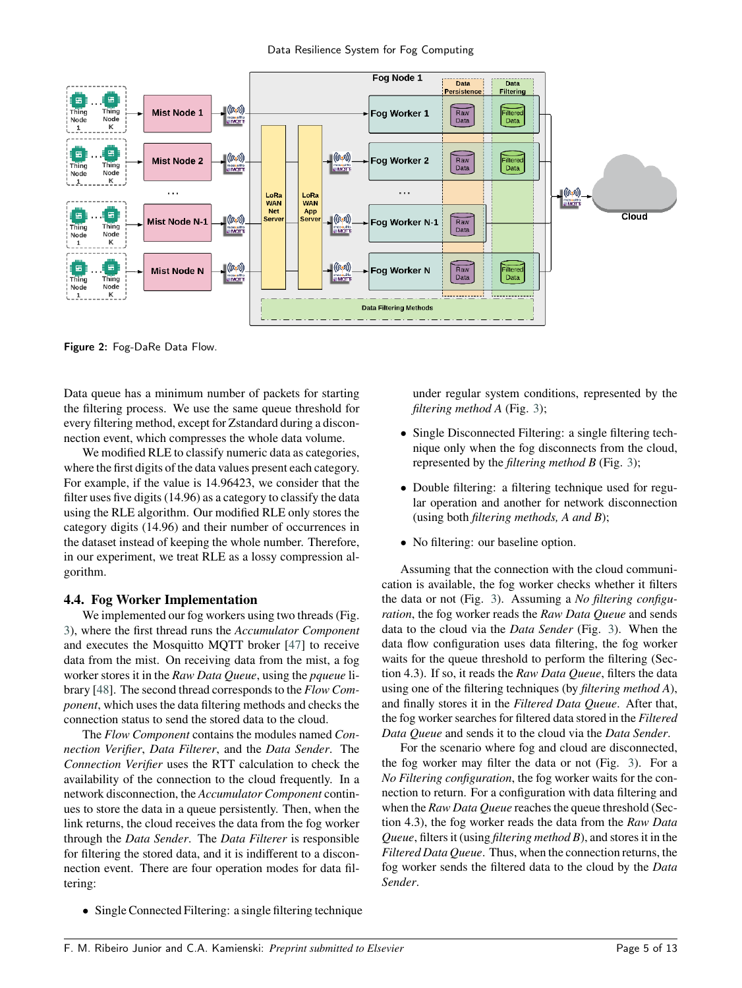<span id="page-4-0"></span>

Figure 2: Fog-DaRe Data Flow.

Data queue has a minimum number of packets for starting the filtering process. We use the same queue threshold for every filtering method, except for Zstandard during a disconnection event, which compresses the whole data volume.

We modified RLE to classify numeric data as categories, where the first digits of the data values present each category. For example, if the value is 14.96423, we consider that the filter uses five digits (14.96) as a category to classify the data using the RLE algorithm. Our modified RLE only stores the category digits (14.96) and their number of occurrences in the dataset instead of keeping the whole number. Therefore, in our experiment, we treat RLE as a lossy compression algorithm.

### **4.4. Fog Worker Implementation**

We implemented our fog workers using two threads (Fig. [3\)](#page-5-0), where the first thread runs the *Accumulator Component* and executes the Mosquitto MQTT broker [\[47\]](#page-12-16) to receive data from the mist. On receiving data from the mist, a fog worker stores it in the *Raw Data Queue*, using the *pqueue* library [\[48\]](#page-12-17). The second thread corresponds to the *Flow Component*, which uses the data filtering methods and checks the connection status to send the stored data to the cloud.

The *Flow Component* contains the modules named *Connection Verifier*, *Data Filterer*, and the *Data Sender*. The *Connection Verifier* uses the RTT calculation to check the availability of the connection to the cloud frequently. In a network disconnection, the *Accumulator Component* continues to store the data in a queue persistently. Then, when the link returns, the cloud receives the data from the fog worker through the *Data Sender*. The *Data Filterer* is responsible for filtering the stored data, and it is indifferent to a disconnection event. There are four operation modes for data filtering:

• Single Connected Filtering: a single filtering technique

under regular system conditions, represented by the *filtering method A* (Fig. [3\)](#page-5-0);

- Single Disconnected Filtering: a single filtering technique only when the fog disconnects from the cloud, represented by the *filtering method B* (Fig. [3\)](#page-5-0);
- Double filtering: a filtering technique used for regular operation and another for network disconnection (using both *filtering methods, A and B*);
- No filtering: our baseline option.

Assuming that the connection with the cloud communication is available, the fog worker checks whether it filters the data or not (Fig. [3\)](#page-5-0). Assuming a *No filtering configuration*, the fog worker reads the *Raw Data Queue* and sends data to the cloud via the *Data Sender* (Fig. [3\)](#page-5-0). When the data flow configuration uses data filtering, the fog worker waits for the queue threshold to perform the filtering (Section 4.3). If so, it reads the *Raw Data Queue*, filters the data using one of the filtering techniques (by *filtering method A*), and finally stores it in the *Filtered Data Queue*. After that, the fog worker searches for filtered data stored in the *Filtered Data Queue* and sends it to the cloud via the *Data Sender*.

For the scenario where fog and cloud are disconnected, the fog worker may filter the data or not (Fig. [3\)](#page-5-0). For a *No Filtering configuration*, the fog worker waits for the connection to return. For a configuration with data filtering and when the *Raw Data Queue* reaches the queue threshold (Section 4.3), the fog worker reads the data from the *Raw Data Queue*, filters it (using *filtering method B*), and stores it in the *Filtered Data Queue*. Thus, when the connection returns, the fog worker sends the filtered data to the cloud by the *Data Sender*.

F. M. Ribeiro Junior and C.A. Kamienski: *Preprint submitted to Elsevier* Page 5 of 13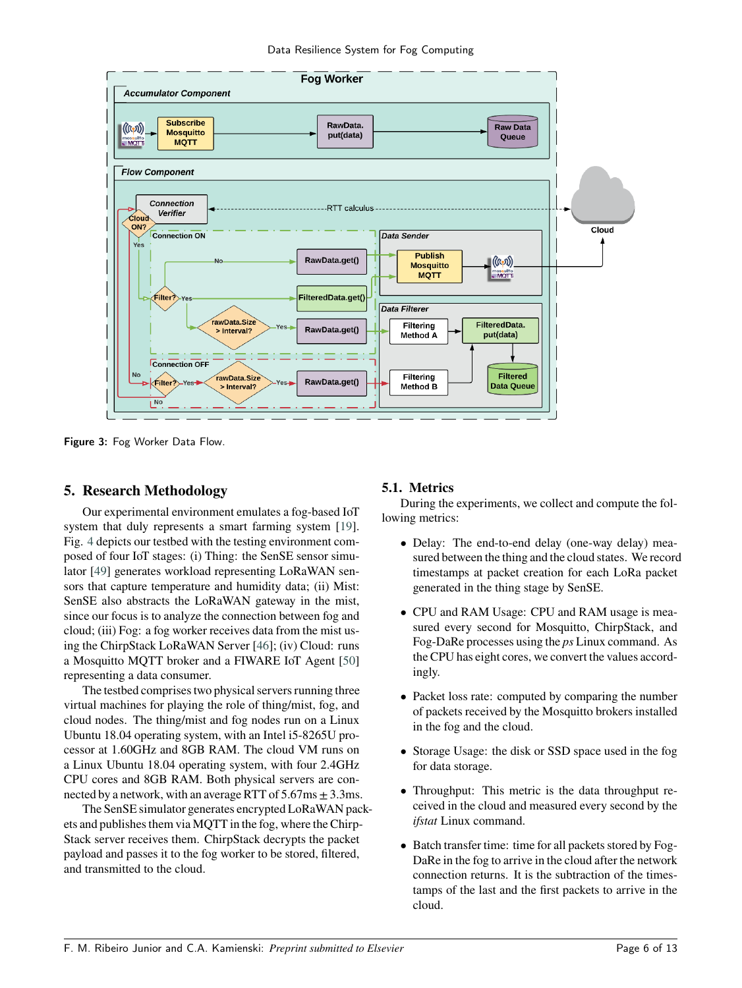Data Resilience System for Fog Computing

<span id="page-5-0"></span>

Figure 3: Fog Worker Data Flow.

# **5. Research Methodology**

Our experimental environment emulates a fog-based IoT system that duly represents a smart farming system [\[19\]](#page-11-18). Fig. [4](#page-6-0) depicts our testbed with the testing environment composed of four IoT stages: (i) Thing: the SenSE sensor simulator [\[49\]](#page-12-18) generates workload representing LoRaWAN sensors that capture temperature and humidity data; (ii) Mist: SenSE also abstracts the LoRaWAN gateway in the mist, since our focus is to analyze the connection between fog and cloud; (iii) Fog: a fog worker receives data from the mist using the ChirpStack LoRaWAN Server [\[46\]](#page-12-15); (iv) Cloud: runs a Mosquitto MQTT broker and a FIWARE IoT Agent [\[50\]](#page-12-19) representing a data consumer.

The testbed comprises two physical servers running three virtual machines for playing the role of thing/mist, fog, and cloud nodes. The thing/mist and fog nodes run on a Linux Ubuntu 18.04 operating system, with an Intel i5-8265U processor at 1.60GHz and 8GB RAM. The cloud VM runs on a Linux Ubuntu 18.04 operating system, with four 2.4GHz CPU cores and 8GB RAM. Both physical servers are connected by a network, with an average RTT of  $5.67 \text{ms} \pm 3.3 \text{ms}$ .

The SenSE simulator generates encrypted LoRaWAN packets and publishes them via MQTT in the fog, where the Chirp-Stack server receives them. ChirpStack decrypts the packet payload and passes it to the fog worker to be stored, filtered, and transmitted to the cloud.

# **5.1. Metrics**

During the experiments, we collect and compute the following metrics:

- Delay: The end-to-end delay (one-way delay) measured between the thing and the cloud states. We record timestamps at packet creation for each LoRa packet generated in the thing stage by SenSE.
- CPU and RAM Usage: CPU and RAM usage is measured every second for Mosquitto, ChirpStack, and Fog-DaRe processes using the *ps* Linux command. As the CPU has eight cores, we convert the values accordingly.
- Packet loss rate: computed by comparing the number of packets received by the Mosquitto brokers installed in the fog and the cloud.
- Storage Usage: the disk or SSD space used in the fog for data storage.
- Throughput: This metric is the data throughput received in the cloud and measured every second by the *ifstat* Linux command.
- Batch transfer time: time for all packets stored by Fog-DaRe in the fog to arrive in the cloud after the network connection returns. It is the subtraction of the timestamps of the last and the first packets to arrive in the cloud.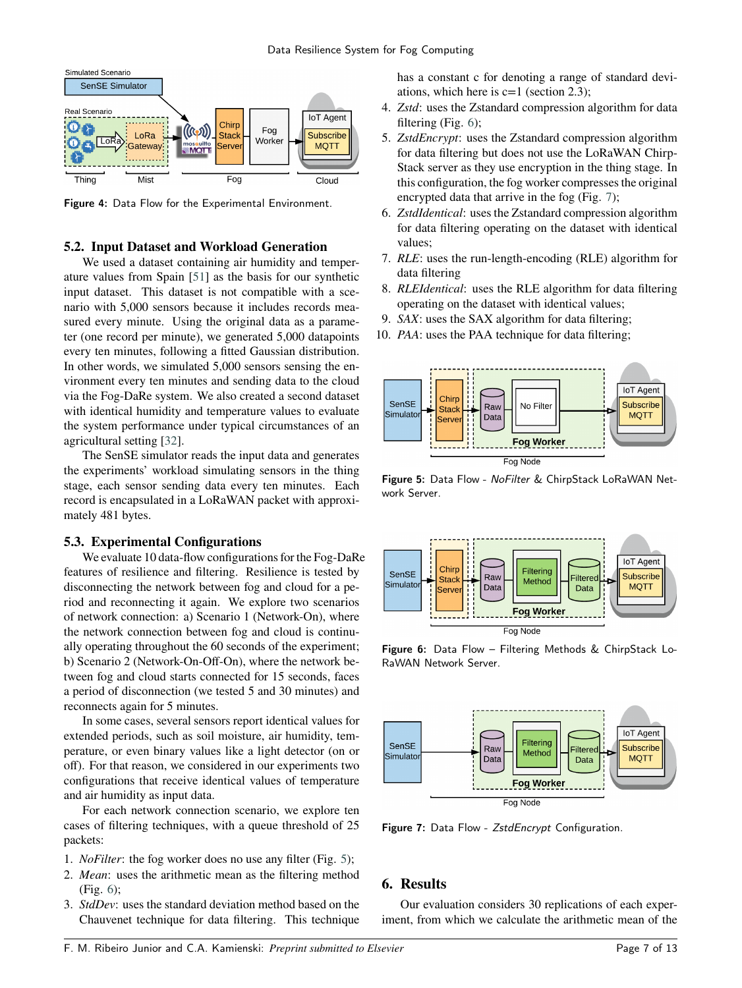<span id="page-6-0"></span>

Figure 4: Data Flow for the Experimental Environment.

#### **5.2. Input Dataset and Workload Generation**

We used a dataset containing air humidity and temperature values from Spain [\[51\]](#page-12-20) as the basis for our synthetic input dataset. This dataset is not compatible with a scenario with 5,000 sensors because it includes records measured every minute. Using the original data as a parameter (one record per minute), we generated 5,000 datapoints every ten minutes, following a fitted Gaussian distribution. In other words, we simulated 5,000 sensors sensing the environment every ten minutes and sending data to the cloud via the Fog-DaRe system. We also created a second dataset with identical humidity and temperature values to evaluate the system performance under typical circumstances of an agricultural setting [\[32\]](#page-12-1).

The SenSE simulator reads the input data and generates the experiments' workload simulating sensors in the thing stage, each sensor sending data every ten minutes. Each record is encapsulated in a LoRaWAN packet with approximately 481 bytes.

#### **5.3. Experimental Configurations**

We evaluate 10 data-flow configurations for the Fog-DaRe features of resilience and filtering. Resilience is tested by disconnecting the network between fog and cloud for a period and reconnecting it again. We explore two scenarios of network connection: a) Scenario 1 (Network-On), where the network connection between fog and cloud is continually operating throughout the 60 seconds of the experiment; b) Scenario 2 (Network-On-Off-On), where the network between fog and cloud starts connected for 15 seconds, faces a period of disconnection (we tested 5 and 30 minutes) and reconnects again for 5 minutes.

In some cases, several sensors report identical values for extended periods, such as soil moisture, air humidity, temperature, or even binary values like a light detector (on or off). For that reason, we considered in our experiments two configurations that receive identical values of temperature and air humidity as input data.

For each network connection scenario, we explore ten cases of filtering techniques, with a queue threshold of 25 packets:

- 1. *NoFilter*: the fog worker does no use any filter (Fig. [5\)](#page-6-1);
- 2. *Mean*: uses the arithmetic mean as the filtering method (Fig. [6\)](#page-6-2);
- 3. *StdDev*: uses the standard deviation method based on the Chauvenet technique for data filtering. This technique

has a constant c for denoting a range of standard deviations, which here is  $c=1$  (section 2.3);

- 4. *Zstd*: uses the Zstandard compression algorithm for data filtering (Fig. [6\)](#page-6-2);
- 5. *ZstdEncrypt*: uses the Zstandard compression algorithm for data filtering but does not use the LoRaWAN Chirp-Stack server as they use encryption in the thing stage. In this configuration, the fog worker compresses the original encrypted data that arrive in the fog (Fig. [7\)](#page-6-3);
- 6. *ZstdIdentical*: uses the Zstandard compression algorithm for data filtering operating on the dataset with identical values;
- 7. *RLE*: uses the run-length-encoding (RLE) algorithm for data filtering
- 8. *RLEIdentical*: uses the RLE algorithm for data filtering operating on the dataset with identical values;
- 9. *SAX*: uses the SAX algorithm for data filtering;
- 10. *PAA*: uses the PAA technique for data filtering;

<span id="page-6-1"></span>

Figure 5: Data Flow - NoFilter & ChirpStack LoRaWAN Network Server.

<span id="page-6-2"></span>

Figure 6: Data Flow – Filtering Methods & ChirpStack Lo-RaWAN Network Server.

<span id="page-6-3"></span>

Figure 7: Data Flow - ZstdEncrypt Configuration.

## **6. Results**

Our evaluation considers 30 replications of each experiment, from which we calculate the arithmetic mean of the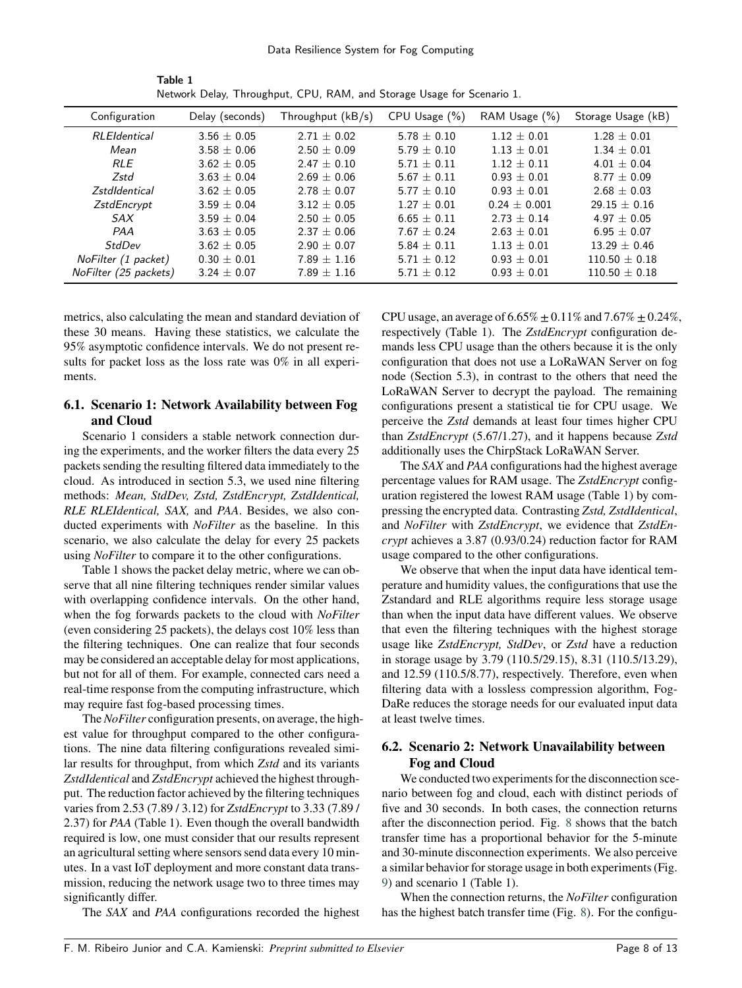| Configuration         | Delay (seconds) | Throughput $(kB/s)$ | CPU Usage (%)   | RAM Usage (%)   | Storage Usage (kB) |
|-----------------------|-----------------|---------------------|-----------------|-----------------|--------------------|
| <b>RLEIdentical</b>   | $3.56 \pm 0.05$ | $2.71 + 0.02$       | $5.78 \pm 0.10$ | $1.12 \pm 0.01$ | $1.28 \pm 0.01$    |
| Mean                  | $3.58 + 0.06$   | $2.50 + 0.09$       | $5.79 + 0.10$   | $1.13 + 0.01$   | $1.34 + 0.01$      |
| <b>RLE</b>            | $3.62 + 0.05$   | $2.47 + 0.10$       | $5.71 + 0.11$   | $1.12 + 0.11$   | $4.01 + 0.04$      |
| Zstd                  | $3.63 + 0.04$   | $2.69 + 0.06$       | $5.67 + 0.11$   | $0.93 + 0.01$   | $8.77 + 0.09$      |
| <b>ZstdIdentical</b>  | $3.62 + 0.05$   | $2.78 \pm 0.07$     | $5.77 + 0.10$   | $0.93 + 0.01$   | $2.68 + 0.03$      |
| ZstdEncrypt           | $3.59 \pm 0.04$ | $3.12 + 0.05$       | $1.27 + 0.01$   | $0.24 + 0.001$  | $29.15 + 0.16$     |
| SAX                   | $3.59 \pm 0.04$ | $2.50 + 0.05$       | $6.65 + 0.11$   | $2.73 + 0.14$   | $4.97 + 0.05$      |
| PAA                   | $3.63 + 0.05$   | $2.37 \pm 0.06$     | $7.67 + 0.24$   | $2.63 + 0.01$   | $6.95 + 0.07$      |
| StdDev                | $3.62 + 0.05$   | $2.90 \pm 0.07$     | 5.84 $\pm$ 0.11 | $1.13 + 0.01$   | $13.29 \pm 0.46$   |
| NoFilter (1 packet)   | $0.30 + 0.01$   | $7.89 \pm 1.16$     | $5.71 + 0.12$   | $0.93 + 0.01$   | $110.50 \pm 0.18$  |
| NoFilter (25 packets) | $3.24 + 0.07$   | $7.89 \pm 1.16$     | $5.71 \pm 0.12$ | $0.93 \pm 0.01$ | $110.50 \pm 0.18$  |

Table 1 Network Delay, Throughput, CPU, RAM, and Storage Usage for Scenario 1.

metrics, also calculating the mean and standard deviation of these 30 means. Having these statistics, we calculate the 95% asymptotic confidence intervals. We do not present results for packet loss as the loss rate was 0% in all experiments.

## **6.1. Scenario 1: Network Availability between Fog and Cloud**

Scenario 1 considers a stable network connection during the experiments, and the worker filters the data every 25 packets sending the resulting filtered data immediately to the cloud. As introduced in section 5.3, we used nine filtering methods: *Mean, StdDev, Zstd, ZstdEncrypt, ZstdIdentical, RLE RLEIdentical, SAX,* and *PAA*. Besides, we also conducted experiments with *NoFilter* as the baseline. In this scenario, we also calculate the delay for every 25 packets using *NoFilter* to compare it to the other configurations.

Table 1 shows the packet delay metric, where we can observe that all nine filtering techniques render similar values with overlapping confidence intervals. On the other hand, when the fog forwards packets to the cloud with *NoFilter* (even considering 25 packets), the delays cost 10% less than the filtering techniques. One can realize that four seconds may be considered an acceptable delay for most applications, but not for all of them. For example, connected cars need a real-time response from the computing infrastructure, which may require fast fog-based processing times.

The *NoFilter* configuration presents, on average, the highest value for throughput compared to the other configurations. The nine data filtering configurations revealed similar results for throughput, from which *Zstd* and its variants *ZstdIdentical* and *ZstdEncrypt* achieved the highest throughput. The reduction factor achieved by the filtering techniques varies from 2.53 (7.89 / 3.12) for *ZstdEncrypt* to 3.33 (7.89 / 2.37) for *PAA* (Table 1). Even though the overall bandwidth required is low, one must consider that our results represent an agricultural setting where sensors send data every 10 minutes. In a vast IoT deployment and more constant data transmission, reducing the network usage two to three times may significantly differ.

The *SAX* and *PAA* configurations recorded the highest

CPU usage, an average of  $6.65\% \pm 0.11\%$  and  $7.67\% \pm 0.24\%$ , respectively (Table 1). The *ZstdEncrypt* configuration demands less CPU usage than the others because it is the only configuration that does not use a LoRaWAN Server on fog node (Section 5.3), in contrast to the others that need the LoRaWAN Server to decrypt the payload. The remaining configurations present a statistical tie for CPU usage. We perceive the *Zstd* demands at least four times higher CPU than *ZstdEncrypt* (5.67/1.27), and it happens because *Zstd* additionally uses the ChirpStack LoRaWAN Server.

The *SAX* and *PAA* configurations had the highest average percentage values for RAM usage. The *ZstdEncrypt* configuration registered the lowest RAM usage (Table 1) by compressing the encrypted data. Contrasting *Zstd, ZstdIdentical*, and *NoFilter* with *ZstdEncrypt*, we evidence that *ZstdEncrypt* achieves a 3.87 (0.93/0.24) reduction factor for RAM usage compared to the other configurations.

We observe that when the input data have identical temperature and humidity values, the configurations that use the Zstandard and RLE algorithms require less storage usage than when the input data have different values. We observe that even the filtering techniques with the highest storage usage like *ZstdEncrypt, StdDev*, or *Zstd* have a reduction in storage usage by 3.79 (110.5/29.15), 8.31 (110.5/13.29), and 12.59 (110.5/8.77), respectively. Therefore, even when filtering data with a lossless compression algorithm, Fog-DaRe reduces the storage needs for our evaluated input data at least twelve times.

# **6.2. Scenario 2: Network Unavailability between Fog and Cloud**

We conducted two experiments for the disconnection scenario between fog and cloud, each with distinct periods of five and 30 seconds. In both cases, the connection returns after the disconnection period. Fig. [8](#page-8-0) shows that the batch transfer time has a proportional behavior for the 5-minute and 30-minute disconnection experiments. We also perceive a similar behavior for storage usage in both experiments (Fig. [9\)](#page-8-1) and scenario 1 (Table 1).

When the connection returns, the *NoFilter* configuration has the highest batch transfer time (Fig. [8\)](#page-8-0). For the configu-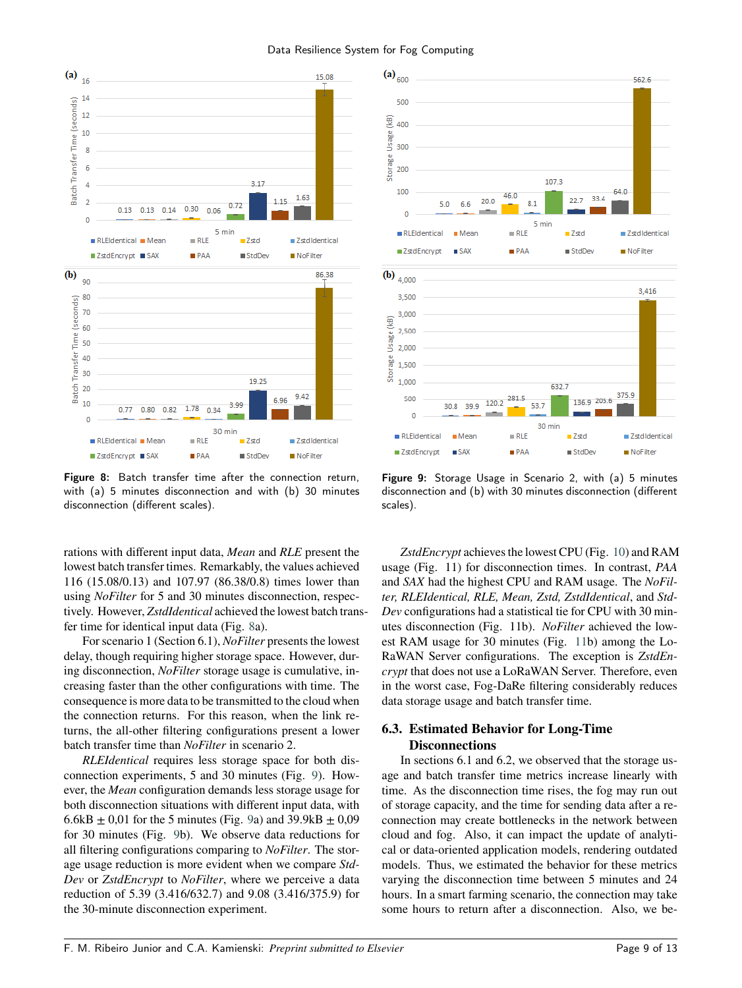<span id="page-8-0"></span>

Figure 8: Batch transfer time after the connection return, with (a) 5 minutes disconnection and with (b) 30 minutes disconnection (different scales).

rations with different input data, *Mean* and *RLE* present the lowest batch transfer times. Remarkably, the values achieved 116 (15.08/0.13) and 107.97 (86.38/0.8) times lower than using *NoFilter* for 5 and 30 minutes disconnection, respectively. However, *ZstdIdentical* achieved the lowest batch transfer time for identical input data (Fig. [8a](#page-8-0)).

For scenario 1 (Section 6.1), *NoFilter* presents the lowest delay, though requiring higher storage space. However, during disconnection, *NoFilter* storage usage is cumulative, increasing faster than the other configurations with time. The consequence is more data to be transmitted to the cloud when the connection returns. For this reason, when the link returns, the all-other filtering configurations present a lower batch transfer time than *NoFilter* in scenario 2.

*RLEIdentical* requires less storage space for both disconnection experiments, 5 and 30 minutes (Fig. [9\)](#page-8-1). However, the *Mean* configuration demands less storage usage for both disconnection situations with different input data, with 6.6kB  $\pm$  0,01 for the 5 minutes (Fig. [9a](#page-8-1)) and 39.9kB  $\pm$  0,09 for 30 minutes (Fig. [9b](#page-8-1)). We observe data reductions for all filtering configurations comparing to *NoFilter*. The storage usage reduction is more evident when we compare *Std-Dev* or *ZstdEncrypt* to *NoFilter*, where we perceive a data reduction of 5.39 (3.416/632.7) and 9.08 (3.416/375.9) for the 30-minute disconnection experiment.

<span id="page-8-1"></span>

Figure 9: Storage Usage in Scenario 2, with (a) 5 minutes disconnection and (b) with 30 minutes disconnection (different scales).

*ZstdEncrypt* achieves the lowest CPU (Fig. [10\)](#page-9-0) and RAM usage (Fig. 11) for disconnection times. In contrast, *PAA* and *SAX* had the highest CPU and RAM usage. The *NoFilter, RLEIdentical, RLE, Mean, Zstd, ZstdIdentical*, and *Std-Dev* configurations had a statistical tie for CPU with 30 minutes disconnection (Fig. 11b). *NoFilter* achieved the lowest RAM usage for 30 minutes (Fig. [11b](#page-9-1)) among the Lo-RaWAN Server configurations. The exception is *ZstdEncrypt* that does not use a LoRaWAN Server. Therefore, even in the worst case, Fog-DaRe filtering considerably reduces data storage usage and batch transfer time.

## **6.3. Estimated Behavior for Long-Time Disconnections**

In sections 6.1 and 6.2, we observed that the storage usage and batch transfer time metrics increase linearly with time. As the disconnection time rises, the fog may run out of storage capacity, and the time for sending data after a reconnection may create bottlenecks in the network between cloud and fog. Also, it can impact the update of analytical or data-oriented application models, rendering outdated models. Thus, we estimated the behavior for these metrics varying the disconnection time between 5 minutes and 24 hours. In a smart farming scenario, the connection may take some hours to return after a disconnection. Also, we be-

#### Data Resilience System for Fog Computing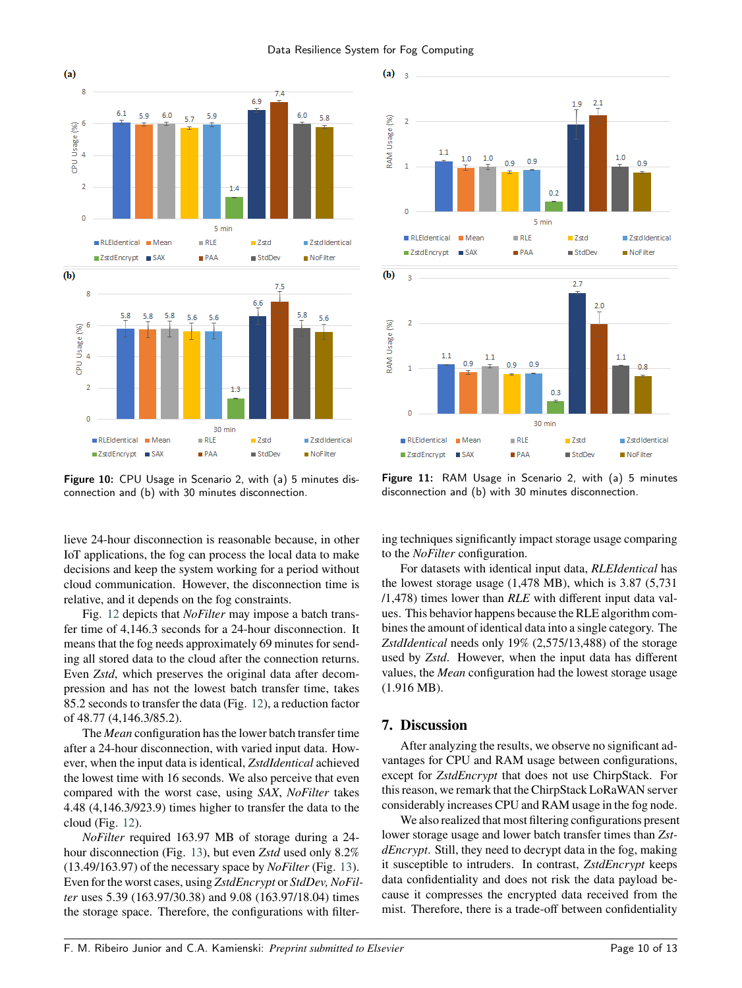Data Resilience System for Fog Computing

<span id="page-9-0"></span>

Figure 10: CPU Usage in Scenario 2, with (a) 5 minutes disconnection and (b) with 30 minutes disconnection.

lieve 24-hour disconnection is reasonable because, in other IoT applications, the fog can process the local data to make decisions and keep the system working for a period without cloud communication. However, the disconnection time is relative, and it depends on the fog constraints.

Fig. [12](#page-10-0) depicts that *NoFilter* may impose a batch transfer time of 4,146.3 seconds for a 24-hour disconnection. It means that the fog needs approximately 69 minutes for sending all stored data to the cloud after the connection returns. Even *Zstd*, which preserves the original data after decompression and has not the lowest batch transfer time, takes 85.2 seconds to transfer the data (Fig. [12\)](#page-10-0), a reduction factor of 48.77 (4,146.3/85.2).

The *Mean* configuration has the lower batch transfer time after a 24-hour disconnection, with varied input data. However, when the input data is identical, *ZstdIdentical* achieved the lowest time with 16 seconds. We also perceive that even compared with the worst case, using *SAX*, *NoFilter* takes 4.48 (4,146.3/923.9) times higher to transfer the data to the cloud (Fig. [12\)](#page-10-0).

*NoFilter* required 163.97 MB of storage during a 24 hour disconnection (Fig. [13\)](#page-10-1), but even *Zstd* used only 8.2% (13.49/163.97) of the necessary space by *NoFilter* (Fig. [13\)](#page-10-1). Even for the worst cases, using *ZstdEncrypt* or *StdDev, NoFilter* uses 5.39 (163.97/30.38) and 9.08 (163.97/18.04) times the storage space. Therefore, the configurations with filter-

<span id="page-9-1"></span>

Figure 11: RAM Usage in Scenario 2, with (a) 5 minutes disconnection and (b) with 30 minutes disconnection.

ing techniques significantly impact storage usage comparing to the *NoFilter* configuration.

For datasets with identical input data, *RLEIdentical* has the lowest storage usage (1,478 MB), which is 3.87 (5,731 /1,478) times lower than *RLE* with different input data values. This behavior happens because the RLE algorithm combines the amount of identical data into a single category. The *ZstdIdentical* needs only 19% (2,575/13,488) of the storage used by *Zstd*. However, when the input data has different values, the *Mean* configuration had the lowest storage usage (1.916 MB).

### **7. Discussion**

After analyzing the results, we observe no significant advantages for CPU and RAM usage between configurations, except for *ZstdEncrypt* that does not use ChirpStack. For this reason, we remark that the ChirpStack LoRaWAN server considerably increases CPU and RAM usage in the fog node.

We also realized that most filtering configurations present lower storage usage and lower batch transfer times than *ZstdEncrypt*. Still, they need to decrypt data in the fog, making it susceptible to intruders. In contrast, *ZstdEncrypt* keeps data confidentiality and does not risk the data payload because it compresses the encrypted data received from the mist. Therefore, there is a trade-off between confidentiality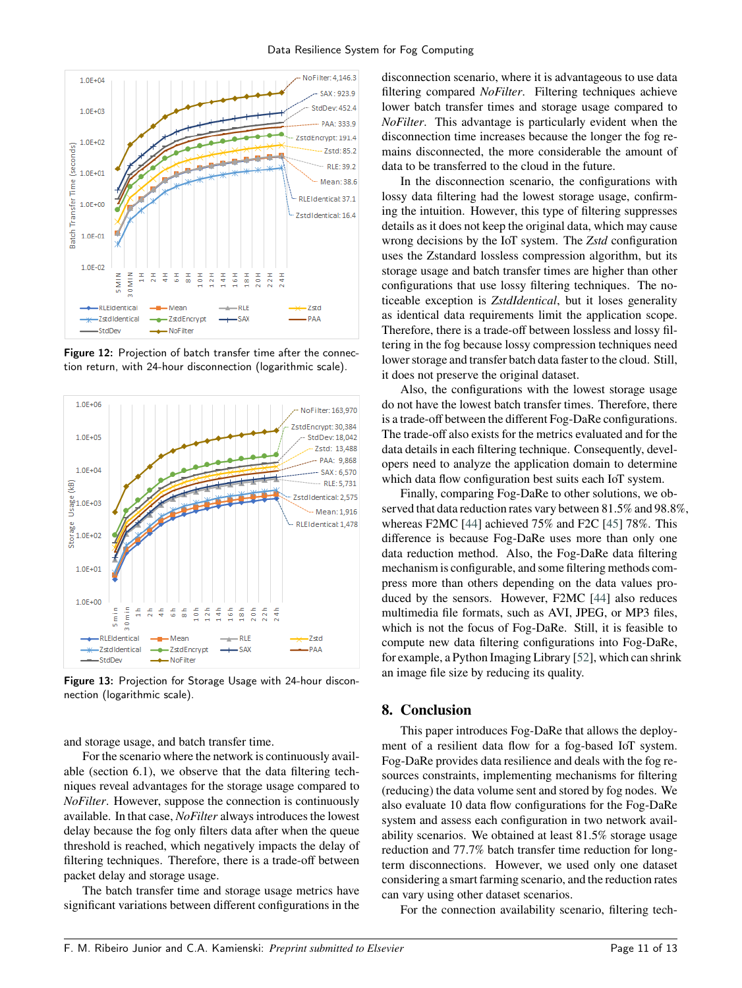<span id="page-10-0"></span>

Figure 12: Projection of batch transfer time after the connection return, with 24-hour disconnection (logarithmic scale).

<span id="page-10-1"></span>

Figure 13: Projection for Storage Usage with 24-hour disconnection (logarithmic scale).

and storage usage, and batch transfer time.

For the scenario where the network is continuously available (section 6.1), we observe that the data filtering techniques reveal advantages for the storage usage compared to *NoFilter*. However, suppose the connection is continuously available. In that case, *NoFilter* always introduces the lowest delay because the fog only filters data after when the queue threshold is reached, which negatively impacts the delay of filtering techniques. Therefore, there is a trade-off between packet delay and storage usage.

The batch transfer time and storage usage metrics have significant variations between different configurations in the disconnection scenario, where it is advantageous to use data filtering compared *NoFilter*. Filtering techniques achieve lower batch transfer times and storage usage compared to *NoFilter*. This advantage is particularly evident when the disconnection time increases because the longer the fog remains disconnected, the more considerable the amount of data to be transferred to the cloud in the future.

In the disconnection scenario, the configurations with lossy data filtering had the lowest storage usage, confirming the intuition. However, this type of filtering suppresses details as it does not keep the original data, which may cause wrong decisions by the IoT system. The *Zstd* configuration uses the Zstandard lossless compression algorithm, but its storage usage and batch transfer times are higher than other configurations that use lossy filtering techniques. The noticeable exception is *ZstdIdentical*, but it loses generality as identical data requirements limit the application scope. Therefore, there is a trade-off between lossless and lossy filtering in the fog because lossy compression techniques need lower storage and transfer batch data faster to the cloud. Still, it does not preserve the original dataset.

Also, the configurations with the lowest storage usage do not have the lowest batch transfer times. Therefore, there is a trade-off between the different Fog-DaRe configurations. The trade-off also exists for the metrics evaluated and for the data details in each filtering technique. Consequently, developers need to analyze the application domain to determine which data flow configuration best suits each IoT system.

Finally, comparing Fog-DaRe to other solutions, we observed that data reduction rates vary between 81.5% and 98.8%, whereas F2MC [\[44\]](#page-12-13) achieved 75% and F2C [\[45\]](#page-12-14) 78%. This difference is because Fog-DaRe uses more than only one data reduction method. Also, the Fog-DaRe data filtering mechanism is configurable, and some filtering methods compress more than others depending on the data values produced by the sensors. However, F2MC [\[44\]](#page-12-13) also reduces multimedia file formats, such as AVI, JPEG, or MP3 files, which is not the focus of Fog-DaRe. Still, it is feasible to compute new data filtering configurations into Fog-DaRe, for example, a Python Imaging Library [\[52\]](#page-12-21), which can shrink an image file size by reducing its quality.

### **8. Conclusion**

This paper introduces Fog-DaRe that allows the deployment of a resilient data flow for a fog-based IoT system. Fog-DaRe provides data resilience and deals with the fog resources constraints, implementing mechanisms for filtering (reducing) the data volume sent and stored by fog nodes. We also evaluate 10 data flow configurations for the Fog-DaRe system and assess each configuration in two network availability scenarios. We obtained at least 81.5% storage usage reduction and 77.7% batch transfer time reduction for longterm disconnections. However, we used only one dataset considering a smart farming scenario, and the reduction rates can vary using other dataset scenarios.

For the connection availability scenario, filtering tech-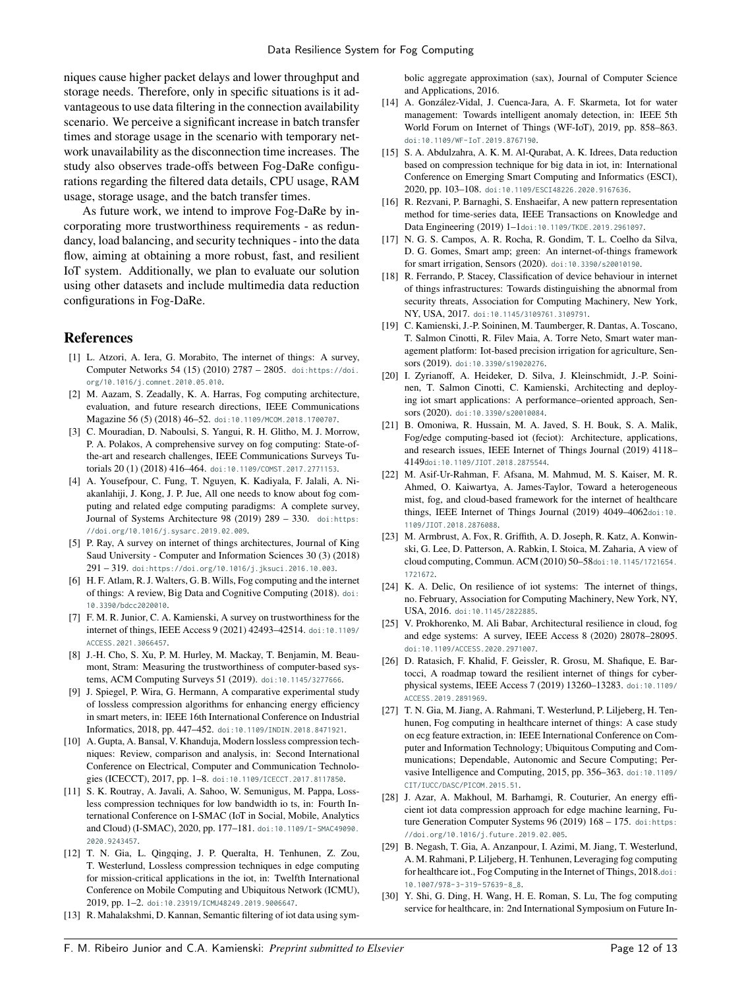niques cause higher packet delays and lower throughput and storage needs. Therefore, only in specific situations is it advantageous to use data filtering in the connection availability scenario. We perceive a significant increase in batch transfer times and storage usage in the scenario with temporary network unavailability as the disconnection time increases. The study also observes trade-offs between Fog-DaRe configurations regarding the filtered data details, CPU usage, RAM usage, storage usage, and the batch transfer times.

As future work, we intend to improve Fog-DaRe by incorporating more trustworthiness requirements - as redundancy, load balancing, and security techniques - into the data flow, aiming at obtaining a more robust, fast, and resilient IoT system. Additionally, we plan to evaluate our solution using other datasets and include multimedia data reduction configurations in Fog-DaRe.

#### **References**

- <span id="page-11-0"></span>[1] L. Atzori, A. Iera, G. Morabito, The internet of things: A survey, Computer Networks 54 (15) (2010) 2787 – 2805. [doi:https://doi.](http://dx.doi.org/https://doi.org/10.1016/j.comnet.2010.05.010) [org/10.1016/j.comnet.2010.05.010](http://dx.doi.org/https://doi.org/10.1016/j.comnet.2010.05.010).
- <span id="page-11-1"></span>[2] M. Aazam, S. Zeadally, K. A. Harras, Fog computing architecture, evaluation, and future research directions, IEEE Communications Magazine 56 (5) (2018) 46–52. [doi:10.1109/MCOM.2018.1700707](http://dx.doi.org/10.1109/MCOM.2018.1700707).
- <span id="page-11-2"></span>[3] C. Mouradian, D. Naboulsi, S. Yangui, R. H. Glitho, M. J. Morrow, P. A. Polakos, A comprehensive survey on fog computing: State-ofthe-art and research challenges, IEEE Communications Surveys Tutorials 20 (1) (2018) 416–464. [doi:10.1109/COMST.2017.2771153](http://dx.doi.org/10.1109/COMST.2017.2771153).
- <span id="page-11-3"></span>[4] A. Yousefpour, C. Fung, T. Nguyen, K. Kadiyala, F. Jalali, A. Niakanlahiji, J. Kong, J. P. Jue, All one needs to know about fog computing and related edge computing paradigms: A complete survey, Journal of Systems Architecture 98 (2019) 289 – 330. [doi:https:](http://dx.doi.org/https://doi.org/10.1016/j.sysarc.2019.02.009) [//doi.org/10.1016/j.sysarc.2019.02.009](http://dx.doi.org/https://doi.org/10.1016/j.sysarc.2019.02.009).
- <span id="page-11-4"></span>[5] P. Ray, A survey on internet of things architectures, Journal of King Saud University - Computer and Information Sciences 30 (3) (2018) 291 – 319. [doi:https://doi.org/10.1016/j.jksuci.2016.10.003](http://dx.doi.org/https://doi.org/10.1016/j.jksuci.2016.10.003).
- <span id="page-11-5"></span>[6] H. F. Atlam, R. J. Walters, G. B. Wills, Fog computing and the internet of things: A review, Big Data and Cognitive Computing (2018). [doi:](http://dx.doi.org/10.3390/bdcc2020010) [10.3390/bdcc2020010](http://dx.doi.org/10.3390/bdcc2020010).
- <span id="page-11-6"></span>[7] F. M. R. Junior, C. A. Kamienski, A survey on trustworthiness for the internet of things, IEEE Access 9 (2021) 42493–42514. [doi:10.1109/](http://dx.doi.org/10.1109/ACCESS.2021.3066457) [ACCESS.2021.3066457](http://dx.doi.org/10.1109/ACCESS.2021.3066457).
- <span id="page-11-7"></span>[8] J.-H. Cho, S. Xu, P. M. Hurley, M. Mackay, T. Benjamin, M. Beaumont, Stram: Measuring the trustworthiness of computer-based systems, ACM Computing Surveys 51 (2019). [doi:10.1145/3277666](http://dx.doi.org/10.1145/3277666).
- <span id="page-11-8"></span>[9] J. Spiegel, P. Wira, G. Hermann, A comparative experimental study of lossless compression algorithms for enhancing energy efficiency in smart meters, in: IEEE 16th International Conference on Industrial Informatics, 2018, pp. 447–452. [doi:10.1109/INDIN.2018.8471921](http://dx.doi.org/10.1109/INDIN.2018.8471921).
- <span id="page-11-9"></span>[10] A. Gupta, A. Bansal, V. Khanduja, Modern lossless compression techniques: Review, comparison and analysis, in: Second International Conference on Electrical, Computer and Communication Technologies (ICECCT), 2017, pp. 1–8. [doi:10.1109/ICECCT.2017.8117850](http://dx.doi.org/10.1109/ICECCT.2017.8117850).
- <span id="page-11-10"></span>[11] S. K. Routray, A. Javali, A. Sahoo, W. Semunigus, M. Pappa, Lossless compression techniques for low bandwidth io ts, in: Fourth International Conference on I-SMAC (IoT in Social, Mobile, Analytics and Cloud) (I-SMAC), 2020, pp. 177–181. [doi:10.1109/I-SMAC49090.](http://dx.doi.org/10.1109/I-SMAC49090.2020.9243457) [2020.9243457](http://dx.doi.org/10.1109/I-SMAC49090.2020.9243457).
- <span id="page-11-11"></span>[12] T. N. Gia, L. Qingqing, J. P. Queralta, H. Tenhunen, Z. Zou, T. Westerlund, Lossless compression techniques in edge computing for mission-critical applications in the iot, in: Twelfth International Conference on Mobile Computing and Ubiquitous Network (ICMU), 2019, pp. 1–2. [doi:10.23919/ICMU48249.2019.9006647](http://dx.doi.org/10.23919/ICMU48249.2019.9006647).
- <span id="page-11-12"></span>[13] R. Mahalakshmi, D. Kannan, Semantic filtering of iot data using sym-

bolic aggregate approximation (sax), Journal of Computer Science and Applications, 2016.

- <span id="page-11-13"></span>[14] A. González-Vidal, J. Cuenca-Jara, A. F. Skarmeta, Iot for water management: Towards intelligent anomaly detection, in: IEEE 5th World Forum on Internet of Things (WF-IoT), 2019, pp. 858–863. [doi:10.1109/WF-IoT.2019.8767190](http://dx.doi.org/10.1109/WF-IoT.2019.8767190).
- <span id="page-11-14"></span>[15] S. A. Abdulzahra, A. K. M. Al-Qurabat, A. K. Idrees, Data reduction based on compression technique for big data in iot, in: International Conference on Emerging Smart Computing and Informatics (ESCI), 2020, pp. 103–108. [doi:10.1109/ESCI48226.2020.9167636](http://dx.doi.org/10.1109/ESCI48226.2020.9167636).
- <span id="page-11-15"></span>[16] R. Rezvani, P. Barnaghi, S. Enshaeifar, A new pattern representation method for time-series data, IEEE Transactions on Knowledge and Data Engineering (2019) 1–1[doi:10.1109/TKDE.2019.2961097](http://dx.doi.org/10.1109/TKDE.2019.2961097).
- <span id="page-11-16"></span>[17] N. G. S. Campos, A. R. Rocha, R. Gondim, T. L. Coelho da Silva, D. G. Gomes, Smart amp; green: An internet-of-things framework for smart irrigation, Sensors (2020). [doi:10.3390/s20010190](http://dx.doi.org/10.3390/s20010190).
- <span id="page-11-17"></span>[18] R. Ferrando, P. Stacey, Classification of device behaviour in internet of things infrastructures: Towards distinguishing the abnormal from security threats, Association for Computing Machinery, New York, NY, USA, 2017. [doi:10.1145/3109761.3109791](http://dx.doi.org/10.1145/3109761.3109791).
- <span id="page-11-18"></span>[19] C. Kamienski, J.-P. Soininen, M. Taumberger, R. Dantas, A. Toscano, T. Salmon Cinotti, R. Filev Maia, A. Torre Neto, Smart water management platform: Iot-based precision irrigation for agriculture, Sensors (2019). [doi:10.3390/s19020276](http://dx.doi.org/10.3390/s19020276).
- <span id="page-11-19"></span>[20] I. Zyrianoff, A. Heideker, D. Silva, J. Kleinschmidt, J.-P. Soininen, T. Salmon Cinotti, C. Kamienski, Architecting and deploying iot smart applications: A performance–oriented approach, Sensors (2020). [doi:10.3390/s20010084](http://dx.doi.org/10.3390/s20010084).
- <span id="page-11-20"></span>[21] B. Omoniwa, R. Hussain, M. A. Javed, S. H. Bouk, S. A. Malik, Fog/edge computing-based iot (feciot): Architecture, applications, and research issues, IEEE Internet of Things Journal (2019) 4118– 4149[doi:10.1109/JIOT.2018.2875544](http://dx.doi.org/10.1109/JIOT.2018.2875544).
- <span id="page-11-21"></span>[22] M. Asif-Ur-Rahman, F. Afsana, M. Mahmud, M. S. Kaiser, M. R. Ahmed, O. Kaiwartya, A. James-Taylor, Toward a heterogeneous mist, fog, and cloud-based framework for the internet of healthcare things, IEEE Internet of Things Journal (2019) 4049-4062[doi:10.](http://dx.doi.org/10.1109/JIOT.2018.2876088) [1109/JIOT.2018.2876088](http://dx.doi.org/10.1109/JIOT.2018.2876088).
- <span id="page-11-22"></span>[23] M. Armbrust, A. Fox, R. Griffith, A. D. Joseph, R. Katz, A. Konwinski, G. Lee, D. Patterson, A. Rabkin, I. Stoica, M. Zaharia, A view of cloud computing, Commun. ACM (2010) 50–58[doi:10.1145/1721654.](http://dx.doi.org/10.1145/1721654.1721672) [1721672](http://dx.doi.org/10.1145/1721654.1721672).
- <span id="page-11-23"></span>[24] K. A. Delic, On resilience of iot systems: The internet of things, no. February, Association for Computing Machinery, New York, NY, USA, 2016. [doi:10.1145/2822885](http://dx.doi.org/10.1145/2822885).
- <span id="page-11-24"></span>[25] V. Prokhorenko, M. Ali Babar, Architectural resilience in cloud, fog and edge systems: A survey, IEEE Access 8 (2020) 28078–28095. [doi:10.1109/ACCESS.2020.2971007](http://dx.doi.org/10.1109/ACCESS.2020.2971007).
- <span id="page-11-25"></span>[26] D. Ratasich, F. Khalid, F. Geissler, R. Grosu, M. Shafique, E. Bartocci, A roadmap toward the resilient internet of things for cyberphysical systems, IEEE Access 7 (2019) 13260–13283. [doi:10.1109/](http://dx.doi.org/10.1109/ACCESS.2019.2891969) [ACCESS.2019.2891969](http://dx.doi.org/10.1109/ACCESS.2019.2891969).
- <span id="page-11-26"></span>[27] T. N. Gia, M. Jiang, A. Rahmani, T. Westerlund, P. Liljeberg, H. Tenhunen, Fog computing in healthcare internet of things: A case study on ecg feature extraction, in: IEEE International Conference on Computer and Information Technology; Ubiquitous Computing and Communications; Dependable, Autonomic and Secure Computing; Pervasive Intelligence and Computing, 2015, pp. 356–363. [doi:10.1109/](http://dx.doi.org/10.1109/CIT/IUCC/DASC/PICOM.2015.51) [CIT/IUCC/DASC/PICOM.2015.51](http://dx.doi.org/10.1109/CIT/IUCC/DASC/PICOM.2015.51).
- <span id="page-11-27"></span>[28] J. Azar, A. Makhoul, M. Barhamgi, R. Couturier, An energy efficient iot data compression approach for edge machine learning, Future Generation Computer Systems 96 (2019) 168 - 175. [doi:https:](http://dx.doi.org/https://doi.org/10.1016/j.future.2019.02.005) [//doi.org/10.1016/j.future.2019.02.005](http://dx.doi.org/https://doi.org/10.1016/j.future.2019.02.005).
- <span id="page-11-28"></span>[29] B. Negash, T. Gia, A. Anzanpour, I. Azimi, M. Jiang, T. Westerlund, A. M. Rahmani, P. Liljeberg, H. Tenhunen, Leveraging fog computing for healthcare iot., Fog Computing in the Internet of Things, 2018.[doi:](http://dx.doi.org/10.1007/978-3-319-57639-8_8) [10.1007/978-3-319-57639-8\\_8](http://dx.doi.org/10.1007/978-3-319-57639-8_8).
- <span id="page-11-29"></span>[30] Y. Shi, G. Ding, H. Wang, H. E. Roman, S. Lu, The fog computing service for healthcare, in: 2nd International Symposium on Future In-